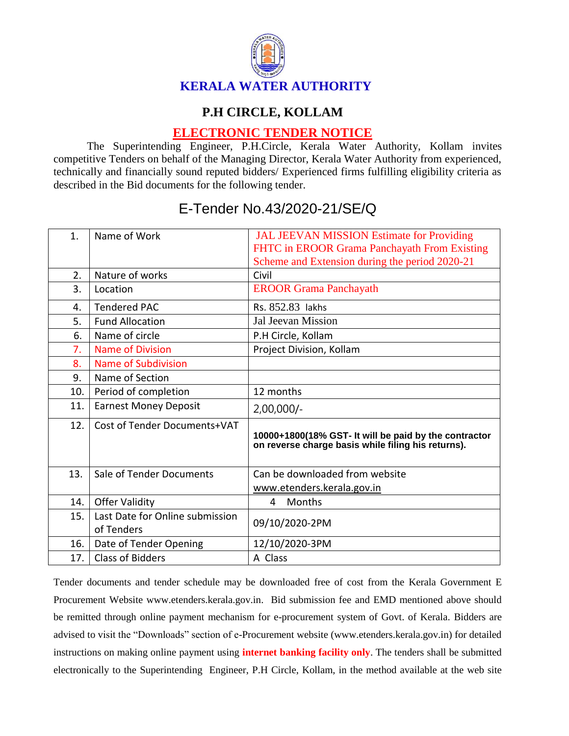

## **P.H CIRCLE, KOLLAM**

## **ELECTRONIC TENDER NOTICE**

The Superintending Engineer, P.H.Circle, Kerala Water Authority, Kollam invites competitive Tenders on behalf of the Managing Director, Kerala Water Authority from experienced, technically and financially sound reputed bidders/ Experienced firms fulfilling eligibility criteria as described in the Bid documents for the following tender.

| $\mathbf{1}$ . | Name of Work                                  | <b>JAL JEEVAN MISSION Estimate for Providing</b><br>FHTC in EROOR Grama Panchayath From Existing<br>Scheme and Extension during the period 2020-21 |
|----------------|-----------------------------------------------|----------------------------------------------------------------------------------------------------------------------------------------------------|
| 2.             | Nature of works                               | Civil                                                                                                                                              |
| 3.             | Location                                      | <b>EROOR Grama Panchayath</b>                                                                                                                      |
| 4.             | <b>Tendered PAC</b>                           | Rs. 852.83 lakhs                                                                                                                                   |
| 5.             | <b>Fund Allocation</b>                        | Jal Jeevan Mission                                                                                                                                 |
| 6.             | Name of circle                                | P.H Circle, Kollam                                                                                                                                 |
| 7.             | Name of Division                              | Project Division, Kollam                                                                                                                           |
| 8.             | Name of Subdivision                           |                                                                                                                                                    |
| 9.             | Name of Section                               |                                                                                                                                                    |
| 10.            | Period of completion                          | 12 months                                                                                                                                          |
| 11.            | <b>Earnest Money Deposit</b>                  | $2,00,000/-$                                                                                                                                       |
| 12.            | Cost of Tender Documents+VAT                  | 10000+1800(18% GST- It will be paid by the contractor<br>on reverse charge basis while filing his returns).                                        |
| 13.            | Sale of Tender Documents                      | Can be downloaded from website                                                                                                                     |
|                |                                               | www.etenders.kerala.gov.in                                                                                                                         |
| 14.            | <b>Offer Validity</b>                         | Months<br>4                                                                                                                                        |
| 15.            | Last Date for Online submission<br>of Tenders | 09/10/2020-2PM                                                                                                                                     |
| 16.            | Date of Tender Opening                        | 12/10/2020-3PM                                                                                                                                     |
| 17.            | <b>Class of Bidders</b>                       | A Class                                                                                                                                            |

## E-Tender No.43/2020-21/SE/Q

Tender documents and tender schedule may be downloaded free of cost from the Kerala Government E Procurement Website www.etenders.kerala.gov.in. Bid submission fee and EMD mentioned above should be remitted through online payment mechanism for e-procurement system of Govt. of Kerala. Bidders are advised to visit the "Downloads" section of e-Procurement website (www.etenders.kerala.gov.in) for detailed instructions on making online payment using **internet banking facility only**. The tenders shall be submitted electronically to the Superintending Engineer, P.H Circle, Kollam, in the method available at the web site